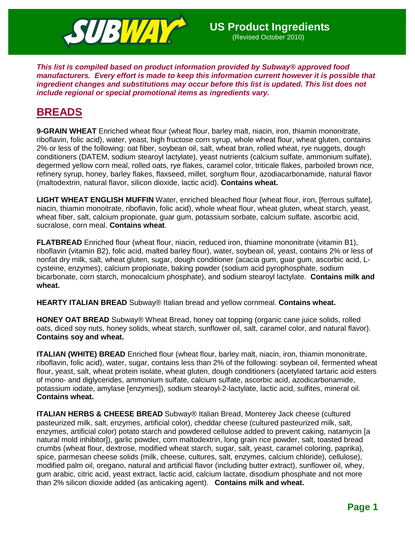

*This list is compiled based on product information provided by Subway® approved food manufacturers. Every effort is made to keep this information current however it is possible that ingredient changes and substitutions may occur before this list is updated. This list does not include regional or special promotional items as ingredients vary.* 

# **BREADS**

**9-GRAIN WHEAT** Enriched wheat flour (wheat flour, barley malt, niacin, iron, thiamin mononitrate, riboflavin, folic acid), water, yeast, high fructose corn syrup, whole wheat flour, wheat gluten, contains 2% or less of the following: oat fiber, soybean oil, salt, wheat bran, rolled wheat, rye nuggets, dough conditioners (DATEM, sodium stearoyl lactylate), yeast nutrients (calcium sulfate, ammonium sulfate), degermed yellow corn meal, rolled oats, rye flakes, caramel color, triticale flakes, parboiled brown rice, refinery syrup, honey, barley flakes, flaxseed, millet, sorghum flour, azodiacarbonamide, natural flavor (maltodextrin, natural flavor, silicon dioxide, lactic acid). **Contains wheat.** 

**LIGHT WHEAT ENGLISH MUFFIN** Water, enriched bleached flour (wheat flour, iron, [ferrous sulfate], niacin, thiamin monoitrate, riboflavin, folic acid), whole wheat flour, wheat gluten, wheat starch, yeast, wheat fiber, salt, calcium propionate, guar gum, potassium sorbate, calcium sulfate, ascorbic acid, sucralose, corn meal. **Contains wheat**.

**FLATBREAD** Enriched flour (wheat flour, niacin, reduced iron, thiamine mononitrate (vitamin B1), riboflavin (vitamin B2), folic acid, malted barley flour), water, soybean oil, yeast, contains 2% or less of nonfat dry milk, salt, wheat gluten, sugar, dough conditioner (acacia gum, guar gum, ascorbic acid, Lcysteine, enzymes), calcium propionate, baking powder (sodium acid pyrophosphate, sodium bicarbonate, corn starch, monocalcium phosphate), and sodium stearoyl lactylate. **Contains milk and wheat.** 

**HEARTY ITALIAN BREAD** Subway® Italian bread and yellow cornmeal. **Contains wheat.**

**HONEY OAT BREAD** Subway® Wheat Bread, honey oat topping (organic cane juice solids, rolled oats, diced soy nuts, honey solids, wheat starch, sunflower oil, salt, caramel color, and natural flavor). **Contains soy and wheat.**

**ITALIAN (WHITE) BREAD** Enriched flour (wheat flour, barley malt, niacin, iron, thiamin mononitrate, riboflavin, folic acid), water, sugar, contains less than 2% of the following: soybean oil, fermented wheat flour, yeast, salt, wheat protein isolate, wheat gluten, dough conditioners (acetylated tartaric acid esters of mono- and diglycerides, ammonium sulfate, calcium sulfate, ascorbic acid, azodicarbonamide, potassium iodate, amylase [enzymes]), sodium stearoyl-2-lactylate, lactic acid, sulfites, mineral oil. **Contains wheat.**

**ITALIAN HERBS & CHEESE BREAD** Subway® Italian Bread, Monterey Jack cheese (cultured pasteurized milk, salt, enzymes, artificial color), cheddar cheese (cultured pasteurized milk, salt, enzymes, artificial color) potato starch and powdered cellulose added to prevent caking, natamycin [a natural mold inhibitor]), garlic powder, corn maltodextrin, long grain rice powder, salt, toasted bread crumbs (wheat flour, dextrose, modified wheat starch, sugar, salt, yeast, caramel coloring, paprika), spice, parmesan cheese solids (milk, cheese, cultures, salt, enzymes, calcium chloride), cellulose), modified palm oil, oregano, natural and artificial flavor (including butter extract), sunflower oil, whey, gum arabic, citric acid, yeast extract, lactic acid, calcium lactate, disodium phosphate and not more than 2% silicon dioxide added (as anticaking agent). **Contains milk and wheat.**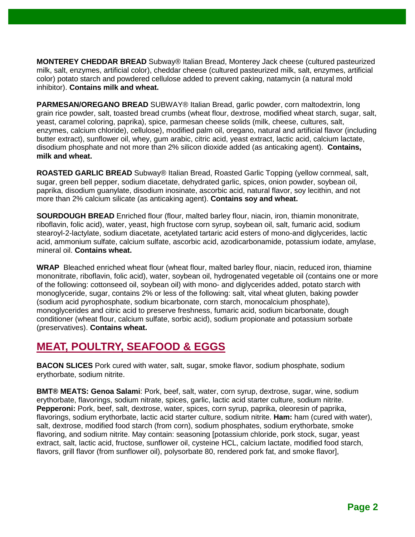**MONTEREY CHEDDAR BREAD** Subway® Italian Bread, Monterey Jack cheese (cultured pasteurized milk, salt, enzymes, artificial color), cheddar cheese (cultured pasteurized milk, salt, enzymes, artificial color) potato starch and powdered cellulose added to prevent caking, natamycin (a natural mold inhibitor). **Contains milk and wheat.** 

**PARMESAN/OREGANO BREAD** SUBWAY® Italian Bread, garlic powder, corn maltodextrin, long grain rice powder, salt, toasted bread crumbs (wheat flour, dextrose, modified wheat starch, sugar, salt, yeast, caramel coloring, paprika), spice, parmesan cheese solids (milk, cheese, cultures, salt, enzymes, calcium chloride), cellulose), modified palm oil, oregano, natural and artificial flavor (including butter extract), sunflower oil, whey, gum arabic, citric acid, yeast extract, lactic acid, calcium lactate, disodium phosphate and not more than 2% silicon dioxide added (as anticaking agent). **Contains, milk and wheat.**

**ROASTED GARLIC BREAD** Subway® Italian Bread, Roasted Garlic Topping (yellow cornmeal, salt, sugar, green bell pepper, sodium diacetate, dehydrated garlic, spices, onion powder, soybean oil, paprika, disodium guanylate, disodium inosinate, ascorbic acid, natural flavor, soy lecithin, and not more than 2% calcium silicate (as anticaking agent). **Contains soy and wheat.** 

**SOURDOUGH BREAD** Enriched flour (flour, malted barley flour, niacin, iron, thiamin mononitrate, riboflavin, folic acid), water, yeast, high fructose corn syrup, soybean oil, salt, fumaric acid, sodium stearoyl-2-lactylate, sodium diacetate, acetylated tartaric acid esters of mono-and diglycerides, lactic acid, ammonium sulfate, calcium sulfate, ascorbic acid, azodicarbonamide, potassium iodate, amylase, mineral oil. **Contains wheat.**

**WRAP** Bleached enriched wheat flour (wheat flour, malted barley flour, niacin, reduced iron, thiamine mononitrate, riboflavin, folic acid), water, soybean oil, hydrogenated vegetable oil (contains one or more of the following: cottonseed oil, soybean oil) with mono- and diglycerides added, potato starch with monoglyceride, sugar, contains 2% or less of the following: salt, vital wheat gluten, baking powder (sodium acid pyrophosphate, sodium bicarbonate, corn starch, monocalcium phosphate), monoglycerides and citric acid to preserve freshness, fumaric acid, sodium bicarbonate, dough conditioner (wheat flour, calcium sulfate, sorbic acid), sodium propionate and potassium sorbate (preservatives). **Contains wheat.** 

# **MEAT, POULTRY, SEAFOOD & EGGS**

**BACON SLICES** Pork cured with water, salt, sugar, smoke flavor, sodium phosphate, sodium erythorbate, sodium nitrite.

**BMT® MEATS: Genoa Salami**: Pork, beef, salt, water, corn syrup, dextrose, sugar, wine, sodium erythorbate, flavorings, sodium nitrate, spices, garlic, lactic acid starter culture, sodium nitrite. **Pepperoni:** Pork, beef, salt, dextrose, water, spices, corn syrup, paprika, oleoresin of paprika, flavorings, sodium erythorbate, lactic acid starter culture, sodium nitrite. **Ham:** ham (cured with water), salt, dextrose, modified food starch (from corn), sodium phosphates, sodium erythorbate, smoke flavoring, and sodium nitrite. May contain: seasoning [potassium chloride, pork stock, sugar, yeast extract, salt, lactic acid, fructose, sunflower oil, cysteine HCL, calcium lactate, modified food starch, flavors, grill flavor (from sunflower oil), polysorbate 80, rendered pork fat, and smoke flavor],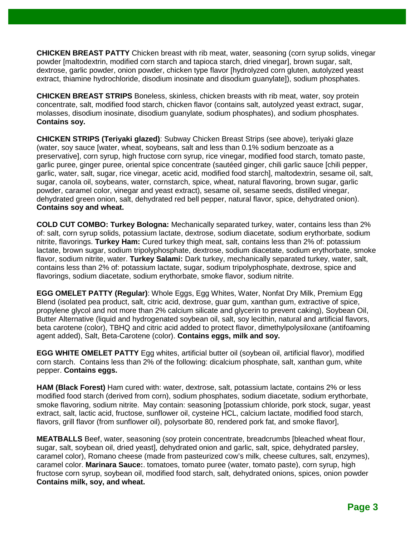**CHICKEN BREAST PATTY** Chicken breast with rib meat, water, seasoning (corn syrup solids, vinegar powder [maltodextrin, modified corn starch and tapioca starch, dried vinegar], brown sugar, salt, dextrose, garlic powder, onion powder, chicken type flavor [hydrolyzed corn gluten, autolyzed yeast extract, thiamine hydrochloride, disodium inosinate and disodium guanylate]), sodium phosphates.

**CHICKEN BREAST STRIPS** Boneless, skinless, chicken breasts with rib meat, water, soy protein concentrate, salt, modified food starch, chicken flavor (contains salt, autolyzed yeast extract, sugar, molasses, disodium inosinate, disodium guanylate, sodium phosphates), and sodium phosphates. **Contains soy.** 

**CHICKEN STRIPS (Teriyaki glazed)**: Subway Chicken Breast Strips (see above), teriyaki glaze (water, soy sauce [water, wheat, soybeans, salt and less than 0.1% sodium benzoate as a preservative], corn syrup, high fructose corn syrup, rice vinegar, modified food starch, tomato paste, garlic puree, ginger puree, oriental spice concentrate (sautéed ginger, chili garlic sauce [chili pepper, garlic, water, salt, sugar, rice vinegar, acetic acid, modified food starch], maltodextrin, sesame oil, salt, sugar, canola oil, soybeans, water, cornstarch, spice, wheat, natural flavoring, brown sugar, garlic powder, caramel color, vinegar and yeast extract), sesame oil, sesame seeds, distilled vinegar, dehydrated green onion, salt, dehydrated red bell pepper, natural flavor, spice, dehydrated onion). **Contains soy and wheat.** 

**COLD CUT COMBO: Turkey Bologna:** Mechanically separated turkey, water, contains less than 2% of: salt, corn syrup solids, potassium lactate, dextrose, sodium diacetate, sodium erythorbate, sodium nitrite, flavorings. **Turkey Ham:** Cured turkey thigh meat, salt, contains less than 2% of: potassium lactate, brown sugar, sodium tripolyphosphate, dextrose, sodium diacetate, sodium erythorbate, smoke flavor, sodium nitrite, water. **Turkey Salami:** Dark turkey, mechanically separated turkey, water, salt, contains less than 2% of: potassium lactate, sugar, sodium tripolyphosphate, dextrose, spice and flavorings, sodium diacetate, sodium erythorbate, smoke flavor, sodium nitrite.

**EGG OMELET PATTY (Regular)**: Whole Eggs, Egg Whites, Water, Nonfat Dry Milk, Premium Egg Blend (isolated pea product, salt, citric acid, dextrose, guar gum, xanthan gum, extractive of spice, propylene glycol and not more than 2% calcium silicate and glycerin to prevent caking), Soybean Oil, Butter Alternative (liquid and hydrogenated soybean oil, salt, soy lecithin, natural and artificial flavors, beta carotene (color), TBHQ and citric acid added to protect flavor, dimethylpolysiloxane (antifoaming agent added), Salt, Beta-Carotene (color). **Contains eggs, milk and soy.** 

**EGG WHITE OMELET PATTY** Egg whites, artificial butter oil (soybean oil, artificial flavor), modified corn starch. Contains less than 2% of the following: dicalcium phosphate, salt, xanthan gum, white pepper. **Contains eggs.**

**HAM (Black Forest)** Ham cured with: water, dextrose, salt, potassium lactate, contains 2% or less modified food starch (derived from corn), sodium phosphates, sodium diacetate, sodium erythorbate, smoke flavoring, sodium nitrite. May contain: seasoning [potassium chloride, pork stock, sugar, yeast extract, salt, lactic acid, fructose, sunflower oil, cysteine HCL, calcium lactate, modified food starch, flavors, grill flavor (from sunflower oil), polysorbate 80, rendered pork fat, and smoke flavor],

**MEATBALLS** Beef, water, seasoning (soy protein concentrate, breadcrumbs [bleached wheat flour, sugar, salt, soybean oil, dried yeast], dehydrated onion and garlic, salt, spice, dehydrated parsley, caramel color), Romano cheese (made from pasteurized cow's milk, cheese cultures, salt, enzymes), caramel color. **Marinara Sauce:**. tomatoes, tomato puree (water, tomato paste), corn syrup, high fructose corn syrup, soybean oil, modified food starch, salt, dehydrated onions, spices, onion powder **Contains milk, soy, and wheat.**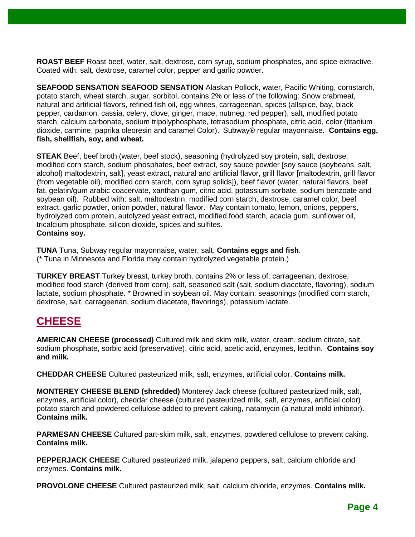**ROAST BEEF** Roast beef, water, salt, dextrose, corn syrup, sodium phosphates, and spice extractive. Coated with: salt, dextrose, caramel color, pepper and garlic powder.

**SEAFOOD SENSATION SEAFOOD SENSATION** Alaskan Pollock, water, Pacific Whiting, cornstarch, potato starch, wheat starch, sugar, sorbitol, contains 2% or less of the following: Snow crabmeat, natural and artificial flavors, refined fish oil, egg whites, carrageenan, spices (allspice, bay, black pepper, cardamon, cassia, celery, clove, ginger, mace, nutmeg, red pepper), salt, modified potato starch, calcium carbonate, sodium tripolyphosphate, tetrasodium phosphate, citric acid, color (titanium dioxide, carmine, paprika oleoresin and caramel Color). Subway® regular mayonnaise**. Contains egg, fish, shellfish, soy, and wheat.** 

**STEAK** Beef, beef broth (water, beef stock), seasoning (hydrolyzed soy protein, salt, dextrose, modified corn starch, sodium phosphates, beef extract, soy sauce powder [soy sauce (soybeans, salt, alcohol) maltodextrin, salt], yeast extract, natural and artificial flavor, grill flavor [maltodextrin, grill flavor (from vegetable oil), modified corn starch, corn syrup solids]), beef flavor (water, natural flavors, beef fat, gelatin/gum arabic coacervate, xanthan gum, citric acid, potassium sorbate, sodium benzoate and soybean oil). Rubbed with: salt, maltodextrin, modified corn starch, dextrose, caramel color, beef extract, garlic powder, onion powder, natural flavor. May contain tomato, lemon, onions, peppers, hydrolyzed corn protein, autolyzed yeast extract, modified food starch, acacia gum, sunflower oil, tricalcium phosphate, silicon dioxide, spices and sulfites. **Contains soy.** 

**TUNA** Tuna, Subway regular mayonnaise, water, salt. **Contains eggs and fish**. (\* Tuna in Minnesota and Florida may contain hydrolyzed vegetable protein.)

**TURKEY BREAST** Turkey breast, turkey broth, contains 2% or less of: carrageenan, dextrose, modified food starch (derived from corn), salt, seasoned salt (salt, sodium diacetate, flavoring), sodium lactate, sodium phosphate. \* Browned in soybean oil. May contain: seasonings (modified corn starch, dextrose, salt, carrageenan, sodium diacetate, flavorings), potassium lactate.

# **CHEESE**

**AMERICAN CHEESE (processed)** Cultured milk and skim milk, water, cream, sodium citrate, salt, sodium phosphate, sorbic acid (preservative), citric acid, acetic acid, enzymes, lecithin. **Contains soy and milk.** 

**CHEDDAR CHEESE** Cultured pasteurized milk, salt, enzymes, artificial color. **Contains milk.**

**MONTEREY CHEESE BLEND (shredded)** Monterey Jack cheese (cultured pasteurized milk, salt, enzymes, artificial color), cheddar cheese (cultured pasteurized milk, salt, enzymes, artificial color) potato starch and powdered cellulose added to prevent caking, natamycin (a natural mold inhibitor). **Contains milk.**

**PARMESAN CHEESE** Cultured part-skim milk, salt, enzymes, powdered cellulose to prevent caking. **Contains milk.**

**PEPPERJACK CHEESE** Cultured pasteurized milk, jalapeno peppers, salt, calcium chloride and enzymes. **Contains milk.**

**PROVOLONE CHEESE** Cultured pasteurized milk, salt, calcium chloride, enzymes. **Contains milk.**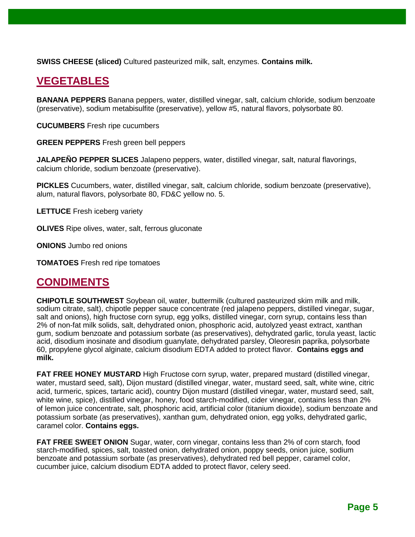**SWISS CHEESE (sliced)** Cultured pasteurized milk, salt, enzymes. **Contains milk.**

# **VEGETABLES**

**BANANA PEPPERS** Banana peppers, water, distilled vinegar, salt, calcium chloride, sodium benzoate (preservative), sodium metabisulfite (preservative), yellow #5, natural flavors, polysorbate 80.

**CUCUMBERS** Fresh ripe cucumbers

**GREEN PEPPERS** Fresh green bell peppers

**JALAPEÑO PEPPER SLICES** Jalapeno peppers, water, distilled vinegar, salt, natural flavorings, calcium chloride, sodium benzoate (preservative).

**PICKLES** Cucumbers, water, distilled vinegar, salt, calcium chloride, sodium benzoate (preservative), alum, natural flavors, polysorbate 80, FD&C yellow no. 5.

**LETTUCE** Fresh iceberg variety

**OLIVES** Ripe olives, water, salt, ferrous gluconate

**ONIONS** Jumbo red onions

**TOMATOES** Fresh red ripe tomatoes

#### **CONDIMENTS**

**CHIPOTLE SOUTHWEST** Soybean oil, water, buttermilk (cultured pasteurized skim milk and milk, sodium citrate, salt), chipotle pepper sauce concentrate (red jalapeno peppers, distilled vinegar, sugar, salt and onions), high fructose corn syrup, egg yolks, distilled vinegar, corn syrup, contains less than 2% of non-fat milk solids, salt, dehydrated onion, phosphoric acid, autolyzed yeast extract, xanthan gum, sodium benzoate and potassium sorbate (as preservatives), dehydrated garlic, torula yeast, lactic acid, disodium inosinate and disodium guanylate, dehydrated parsley, Oleoresin paprika, polysorbate 60, propylene glycol alginate, calcium disodium EDTA added to protect flavor. **Contains eggs and milk.** 

**FAT FREE HONEY MUSTARD** High Fructose corn syrup, water, prepared mustard (distilled vinegar, water, mustard seed, salt), Dijon mustard (distilled vinegar, water, mustard seed, salt, white wine, citric acid, turmeric, spices, tartaric acid), country Dijon mustard (distilled vinegar, water, mustard seed, salt, white wine, spice), distilled vinegar, honey, food starch-modified, cider vinegar, contains less than 2% of lemon juice concentrate, salt, phosphoric acid, artificial color (titanium dioxide), sodium benzoate and potassium sorbate (as preservatives), xanthan gum, dehydrated onion, egg yolks, dehydrated garlic, caramel color. **Contains eggs.**

**FAT FREE SWEET ONION** Sugar, water, corn vinegar, contains less than 2% of corn starch, food starch-modified, spices, salt, toasted onion, dehydrated onion, poppy seeds, onion juice, sodium benzoate and potassium sorbate (as preservatives), dehydrated red bell pepper, caramel color, cucumber juice, calcium disodium EDTA added to protect flavor, celery seed.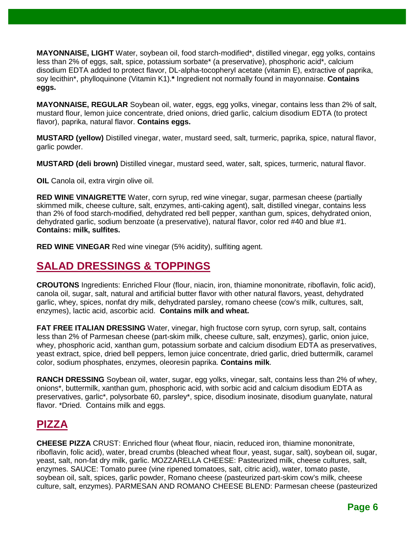**MAYONNAISE, LIGHT** Water, soybean oil, food starch-modified\*, distilled vinegar, egg yolks, contains less than 2% of eggs, salt, spice, potassium sorbate\* (a preservative), phosphoric acid\*, calcium disodium EDTA added to protect flavor, DL-alpha-tocopheryl acetate (vitamin E), extractive of paprika, soy lecithin\*, phylloquinone (Vitamin K1).**\*** Ingredient not normally found in mayonnaise. **Contains eggs.** 

**MAYONNAISE, REGULAR** Soybean oil, water, eggs, egg yolks, vinegar, contains less than 2% of salt, mustard flour, lemon juice concentrate, dried onions, dried garlic, calcium disodium EDTA (to protect flavor), paprika, natural flavor. **Contains eggs.** 

**MUSTARD (yellow)** Distilled vinegar, water, mustard seed, salt, turmeric, paprika, spice, natural flavor, garlic powder.

**MUSTARD (deli brown)** Distilled vinegar, mustard seed, water, salt, spices, turmeric, natural flavor.

**OIL** Canola oil, extra virgin olive oil.

**RED WINE VINAIGRETTE** Water, corn syrup, red wine vinegar, sugar, parmesan cheese (partially skimmed milk, cheese culture, salt, enzymes, anti-caking agent), salt, distilled vinegar, contains less than 2% of food starch-modified, dehydrated red bell pepper, xanthan gum, spices, dehydrated onion, dehydrated garlic, sodium benzoate (a preservative), natural flavor, color red #40 and blue #1. **Contains: milk, sulfites.** 

**RED WINE VINEGAR** Red wine vinegar (5% acidity), sulfiting agent.

### **SALAD DRESSINGS & TOPPINGS**

**CROUTONS** Ingredients: Enriched Flour (flour, niacin, iron, thiamine mononitrate, riboflavin, folic acid), canola oil, sugar, salt, natural and artificial butter flavor with other natural flavors, yeast, dehydrated garlic, whey, spices, nonfat dry milk, dehydrated parsley, romano cheese (cow's milk, cultures, salt, enzymes), lactic acid, ascorbic acid. **Contains milk and wheat.**

**FAT FREE ITALIAN DRESSING** Water, vinegar, high fructose corn syrup, corn syrup, salt, contains less than 2% of Parmesan cheese (part-skim milk, cheese culture, salt, enzymes), garlic, onion juice, whey, phosphoric acid, xanthan gum, potassium sorbate and calcium disodium EDTA as preservatives. yeast extract, spice, dried bell peppers, lemon juice concentrate, dried garlic, dried buttermilk, caramel color, sodium phosphates, enzymes, oleoresin paprika. **Contains milk**.

**RANCH DRESSING** Soybean oil, water, sugar, egg yolks, vinegar, salt, contains less than 2% of whey, onions\*, buttermilk, xanthan gum, phosphoric acid, with sorbic acid and calcium disodium EDTA as preservatives, garlic\*, polysorbate 60, parsley\*, spice, disodium inosinate, disodium guanylate, natural flavor. \*Dried. Contains milk and eggs.

# **PIZZA**

**CHEESE PIZZA** CRUST: Enriched flour (wheat flour, niacin, reduced iron, thiamine mononitrate, riboflavin, folic acid), water, bread crumbs (bleached wheat flour, yeast, sugar, salt), soybean oil, sugar, yeast, salt, non-fat dry milk, garlic. MOZZARELLA CHEESE: Pasteurized milk, cheese cultures, salt, enzymes. SAUCE: Tomato puree (vine ripened tomatoes, salt, citric acid), water, tomato paste, soybean oil, salt, spices, garlic powder, Romano cheese (pasteurized part-skim cow's milk, cheese culture, salt, enzymes). PARMESAN AND ROMANO CHEESE BLEND: Parmesan cheese (pasteurized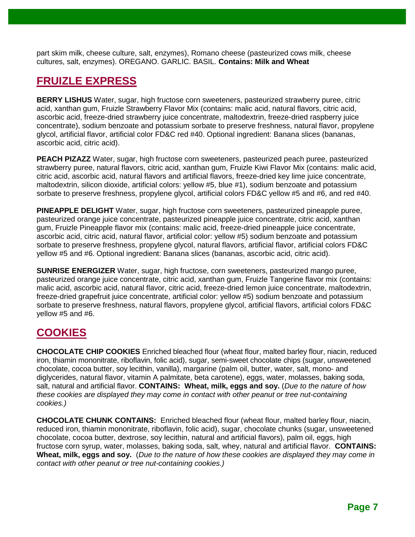part skim milk, cheese culture, salt, enzymes), Romano cheese (pasteurized cows milk, cheese cultures, salt, enzymes). OREGANO. GARLIC. BASIL. **Contains: Milk and Wheat**

# **FRUIZLE EXPRESS**

**BERRY LISHUS** Water, sugar, high fructose corn sweeteners, pasteurized strawberry puree, citric acid, xanthan gum, Fruizle Strawberry Flavor Mix (contains: malic acid, natural flavors, citric acid, ascorbic acid, freeze-dried strawberry juice concentrate, maltodextrin, freeze-dried raspberry juice concentrate), sodium benzoate and potassium sorbate to preserve freshness, natural flavor, propylene glycol, artificial flavor, artificial color FD&C red #40. Optional ingredient: Banana slices (bananas, ascorbic acid, citric acid).

**PEACH PIZAZZ** Water, sugar, high fructose corn sweeteners, pasteurized peach puree, pasteurized strawberry puree, natural flavors, citric acid, xanthan gum, Fruizle Kiwi Flavor Mix (contains: malic acid, citric acid, ascorbic acid, natural flavors and artificial flavors, freeze-dried key lime juice concentrate, maltodextrin, silicon dioxide, artificial colors: yellow #5, blue #1), sodium benzoate and potassium sorbate to preserve freshness, propylene glycol, artificial colors FD&C yellow #5 and #6, and red #40.

**PINEAPPLE DELIGHT** Water, sugar, high fructose corn sweeteners, pasteurized pineapple puree, pasteurized orange juice concentrate, pasteurized pineapple juice concentrate, citric acid, xanthan gum, Fruizle Pineapple flavor mix (contains: malic acid, freeze-dried pineapple juice concentrate, ascorbic acid, citric acid, natural flavor, artificial color: yellow #5) sodium benzoate and potassium sorbate to preserve freshness, propylene glycol, natural flavors, artificial flavor, artificial colors FD&C yellow #5 and #6. Optional ingredient: Banana slices (bananas, ascorbic acid, citric acid).

**SUNRISE ENERGIZER** Water, sugar, high fructose, corn sweeteners, pasteurized mango puree, pasteurized orange juice concentrate, citric acid, xanthan gum, Fruizle Tangerine flavor mix (contains: malic acid, ascorbic acid, natural flavor, citric acid, freeze-dried lemon juice concentrate, maltodextrin, freeze-dried grapefruit juice concentrate, artificial color: yellow #5) sodium benzoate and potassium sorbate to preserve freshness, natural flavors, propylene glycol, artificial flavors, artificial colors FD&C yellow #5 and #6.

# **COOKIES**

**CHOCOLATE CHIP COOKIES** Enriched bleached flour (wheat flour, malted barley flour, niacin, reduced iron, thiamin mononitrate, riboflavin, folic acid), sugar, semi-sweet chocolate chips (sugar, unsweetened chocolate, cocoa butter, soy lecithin, vanilla), margarine (palm oil, butter, water, salt, mono- and diglycerides, natural flavor, vitamin A palmitate, beta carotene), eggs, water, molasses, baking soda, salt, natural and artificial flavor. **CONTAINS: Wheat, milk, eggs and soy.** (*Due to the nature of how these cookies are displayed they may come in contact with other peanut or tree nut-containing cookies.)* 

**CHOCOLATE CHUNK CONTAINS:** Enriched bleached flour (wheat flour, malted barley flour, niacin, reduced iron, thiamin mononitrate, riboflavin, folic acid), sugar, chocolate chunks (sugar, unsweetened chocolate, cocoa butter, dextrose, soy lecithin, natural and artificial flavors), palm oil, eggs, high fructose corn syrup, water, molasses, baking soda, salt, whey, natural and artificial flavor. **CONTAINS: Wheat, milk, eggs and soy.** (*Due to the nature of how these cookies are displayed they may come in contact with other peanut or tree nut-containing cookies.)*